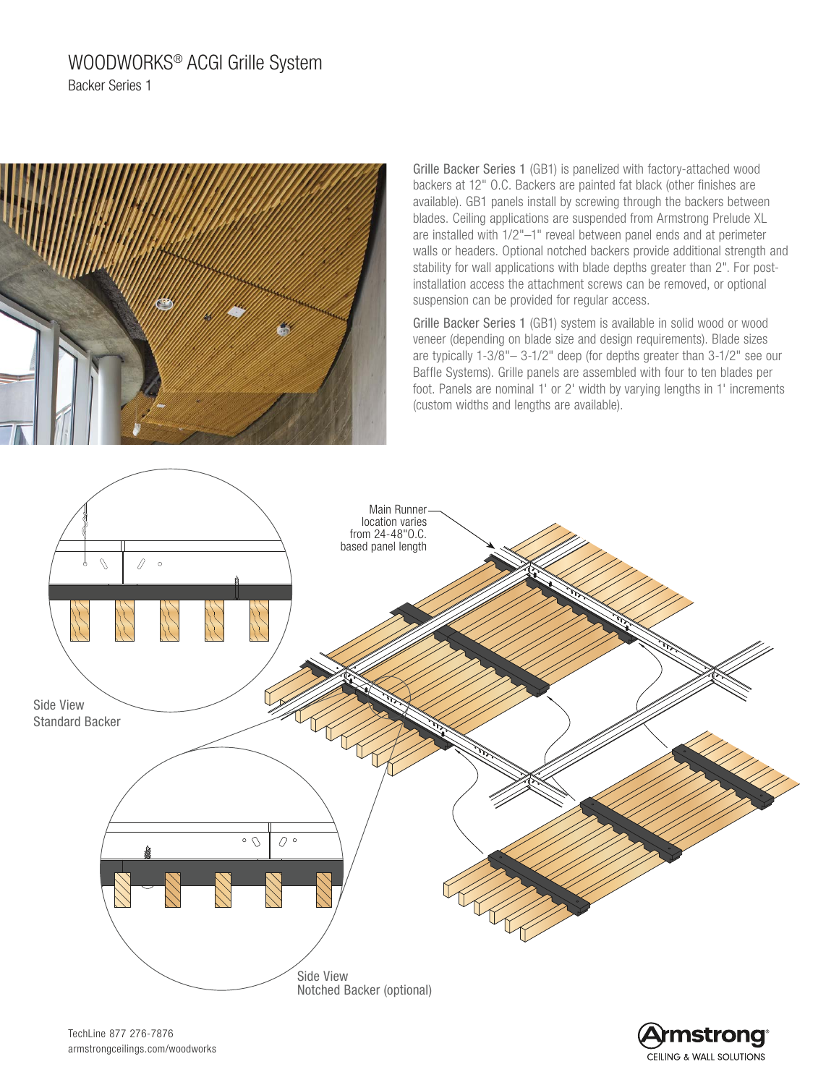# WOODWORKS® ACGI Grille System Backer Series 1



Grille Backer Series 1 (GB1) is panelized with factory-attached wood backers at 12" O.C. Backers are painted fat black (other finishes are available). GB1 panels install by screwing through the backers between blades. Ceiling applications are suspended from Armstrong Prelude XL are installed with 1/2"–1" reveal between panel ends and at perimeter walls or headers. Optional notched backers provide additional strength and stability for wall applications with blade depths greater than 2". For postinstallation access the attachment screws can be removed, or optional suspension can be provided for regular access.

Grille Backer Series 1 (GB1) system is available in solid wood or wood veneer (depending on blade size and design requirements). Blade sizes are typically 1-3/8"– 3-1/2" deep (for depths greater than 3-1/2" see our Baffle Systems). Grille panels are assembled with four to ten blades per foot. Panels are nominal 1' or 2' width by varying lengths in 1' increments (custom widths and lengths are available).